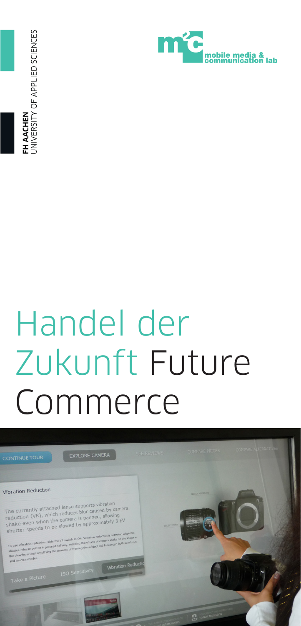**H AACHEN**<br>INIVERSITY OF APPLIED SCIENCES



## Handel der Zukunft Future Commerce

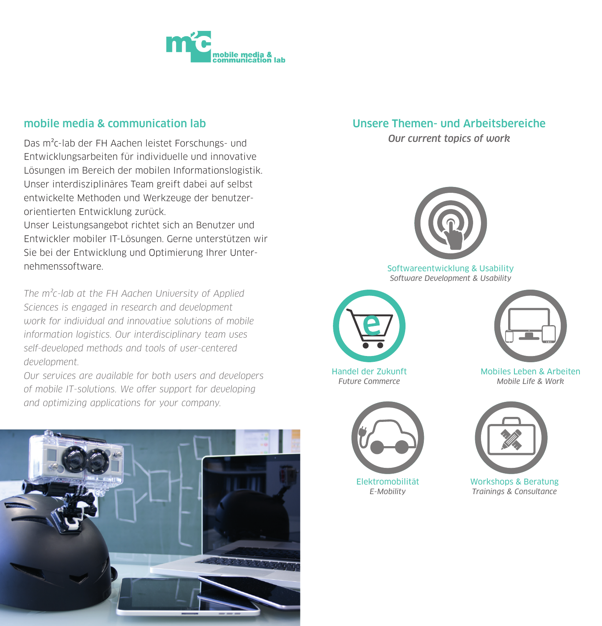

### mobile media & communication lab

Das m²c-lab der FH Aachen leistet Forschungs- und Entwicklungsarbeiten für individuelle und innovative Lösungen im Bereich der mobilen Informationslogistik. Unser interdisziplinäres Team greift dabei auf selbst entwickelte Methoden und Werkzeuge der benutzerorientierten Entwicklung zurück.

Unser Leistungsangebot richtet sich an Benutzer und Entwickler mobiler IT-Lösungen. Gerne unterstützen wir Sie bei der Entwicklung und Optimierung Ihrer Unternehmenssoftware.

The  $m^2c$ -lab at the FH Aachen University of Applied Sciences is engaged in research and development work for individual and innovative solutions of mobile information logistics. Our interdisciplinary team uses self-developed methods and tools of user-centered development.

Our services are available for both users and developers of mobile IT-solutions. We offer support for developing and optimizing applications for your company.



### Unsere Themen- und Arbeitsbereiche

Our current topics of work



Softwareentwicklung & Usability Software Development & Usability



Handel der Zukunft Future Commerce



Elektromobilität E-Mobility



Mobiles Leben & Arbeiten Mobile Life & Work



Workshops & Beratung Trainings & Consultance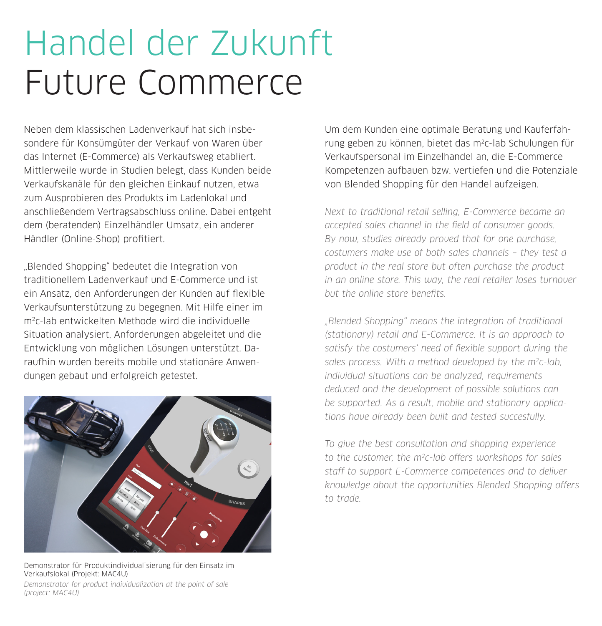# Handel der Zukunft Future Commerce

Neben dem klassischen Ladenverkauf hat sich insbesondere für Konsümgüter der Verkauf von Waren über das Internet (E-Commerce) als Verkaufsweg etabliert. Mittlerweile wurde in Studien belegt, dass Kunden beide Verkaufskanäle für den gleichen Einkauf nutzen, etwa zum Ausprobieren des Produkts im Ladenlokal und anschließendem Vertragsabschluss online. Dabei entgeht dem (beratenden) Einzelhändler Umsatz, ein anderer Händler (Online-Shop) profitiert.

"Blended Shopping" bedeutet die Integration von traditionellem Ladenverkauf und E-Commerce und ist ein Ansatz, den Anforderungen der Kunden auf flexible Verkaufsunterstützung zu begegnen. Mit Hilfe einer im m2c-lab entwickelten Methode wird die individuelle Situation analysiert, Anforderungen abgeleitet und die Entwicklung von möglichen Lösungen unterstützt. Daraufhin wurden bereits mobile und stationäre Anwendungen gebaut und erfolgreich getestet.



Demonstrator für Produktindividualisierung für den Einsatz im Verkaufslokal (Projekt: MAC4U)

Demonstrator for product individualization at the point of sale (project: MAC4U)

Um dem Kunden eine optimale Beratung und Kauferfahrung geben zu können, bietet das m2c-lab Schulungen für Verkaufspersonal im Einzelhandel an, die E-Commerce Kompetenzen aufbauen bzw. vertiefen und die Potenziale von Blended Shopping für den Handel aufzeigen.

Next to traditional retail selling, E-Commerce became an accepted sales channel in the field of consumer goods. By now, studies already proved that for one purchase, costumers make use of both sales channels – they test a product in the real store but often purchase the product in an online store. This way, the real retailer loses turnover but the online store benefits.

"Blended Shopping" means the integration of traditional (stationary) retail and E-Commerce. It is an approach to satisfy the costumers' need of flexible support during the sales process. With a method developed by the m<sup>2</sup>c-lab individual situations can be analyzed, requirements deduced and the development of possible solutions can be supported. As a result, mobile and stationary applications have already been built and tested succesfully.

To give the best consultation and shopping experience to the customer, the m2c-lab offers workshops for sales staff to support E-Commerce competences and to deliver knowledge about the opportunities Blended Shopping offers to trade.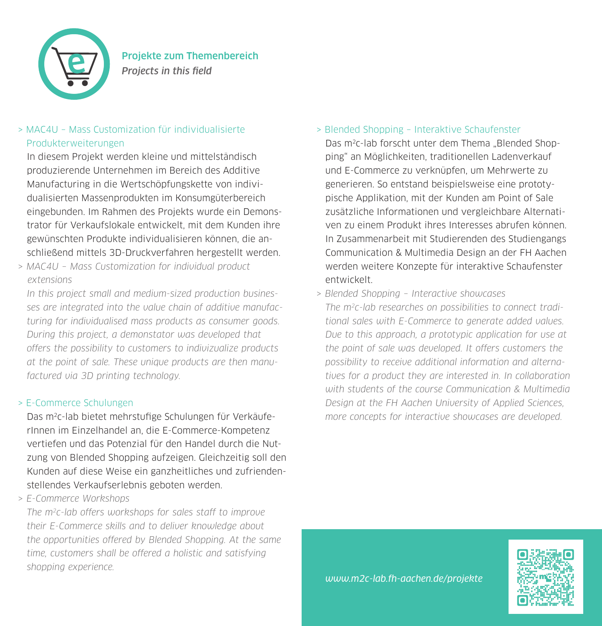

### > MAC4U – Mass Customization für individualisierte Produkterweiterungen

In diesem Projekt werden kleine und mittelständisch produzierende Unternehmen im Bereich des Additive Manufacturing in die Wertschöpfungskette von individualisierten Massenprodukten im Konsumgüterbereich eingebunden. Im Rahmen des Projekts wurde ein Demonstrator für Verkaufslokale entwickelt, mit dem Kunden ihre gewünschten Produkte individualisieren können, die anschließend mittels 3D-Druckverfahren hergestellt werden.

> MAC4U – Mass Customization for individual product extensions

In this project small and medium-sized production businesses are integrated into the value chain of additive manufacturing for individualised mass products as consumer goods. During this project, a demonstator was developed that offers the possibility to customers to indivizualize products at the point of sale. These unique products are then manufactured via 3D printing technology.

#### > E-Commerce Schulungen

Das m2c-lab bietet mehrstufige Schulungen für VerkäuferInnen im Einzelhandel an, die E-Commerce-Kompetenz vertiefen und das Potenzial für den Handel durch die Nutzung von Blended Shopping aufzeigen. Gleichzeitig soll den Kunden auf diese Weise ein ganzheitliches und zufriendenstellendes Verkaufserlebnis geboten werden.

> E-Commerce Workshops

The m2c-lab offers workshops for sales staff to improve their E-Commerce skills and to deliver knowledge about the opportunities offered by Blended Shopping. At the same time, customers shall be offered a holistic and satisfying shopping experience.

### > Blended Shopping – Interaktive Schaufenster

Das m<sup>2</sup>c-lab forscht unter dem Thema "Blended Shopping" an Möglichkeiten, traditionellen Ladenverkauf und E-Commerce zu verknüpfen, um Mehrwerte zu generieren. So entstand beispielsweise eine prototypische Applikation, mit der Kunden am Point of Sale zusätzliche Informationen und vergleichbare Alternativen zu einem Produkt ihres Interesses abrufen können. In Zusammenarbeit mit Studierenden des Studiengangs Communication & Multimedia Design an der FH Aachen werden weitere Konzepte für interaktive Schaufenster entwickelt.

> Blended Shopping – Interactive showcases

The m2c-lab researches on possibilities to connect traditional sales with E-Commerce to generate added values. Due to this approach, a prototypic application for use at the point of sale was developed. It offers customers the possibility to receive additional information and alternatives for a product they are interested in. In collaboration with students of the course Communication & Multimedia Design at the FH Aachen University of Applied Sciences, more concepts for interactive showcases are developed.